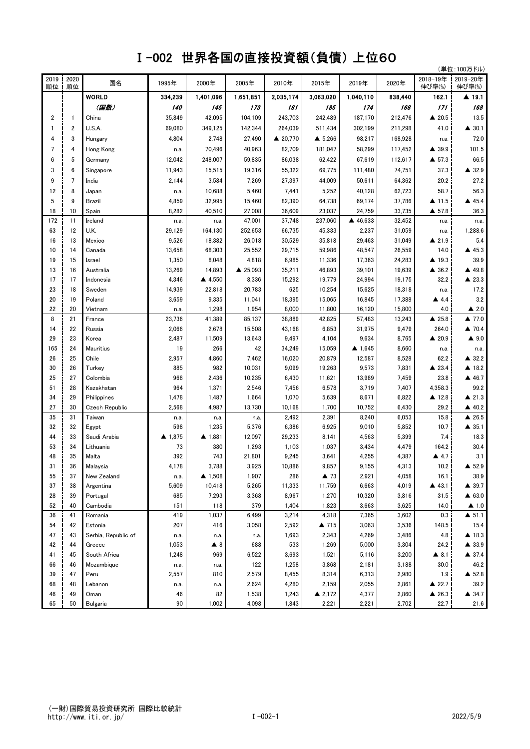## Ⅰ-002 世界各国の直接投資額(負債) 上位60

|            |                 | (単位:100万ドル)           |                   |                    |           |           |                     |           |         |                      |                       |
|------------|-----------------|-----------------------|-------------------|--------------------|-----------|-----------|---------------------|-----------|---------|----------------------|-----------------------|
| 2019<br>順位 | 2020<br>順位      | 国名                    | 1995年             | 2000年              | 2005年     | 2010年     | 2015年               | 2019年     | 2020年   | 2018-19年<br>伸び率(%)   | 2019-20年<br>伸び率(%)    |
|            |                 | <b>WORLD</b>          | 334,239           | 1,401,096          | 1,651,851 | 2,035,174 | 3,063,020           | 1,040,110 | 838,440 | 162.1                | ▲ 19.1                |
|            |                 | (国数)                  | <i><b>140</b></i> | 145                | 173       | 181       | 185                 | 174       | 168     | 171                  | 168                   |
| 2          | $\mathbf{1}$    | China                 | 35,849            | 42,095             | 104,109   | 243,703   | 242,489             | 187,170   | 212,476 | ▲ 20.5               | 13.5                  |
|            | 2               | U.S.A.                | 69,080            | 349,125            | 142,344   | 264.039   | 511,434             | 302,199   | 211,298 | 41.0                 | $\triangle$ 30.1      |
|            | 3               | Hungary               | 4,804             | 2,748              | 27,490    | ▲ 20,770  | $\triangle$ 5,266   | 98,217    | 168,928 | n.a.                 | 72.0                  |
| 7          | 4               | Hong Kong             | n.a.              | 70,496             | 40,963    | 82,709    | 181,047             | 58,299    | 117,452 | ▲ 39.9               | 101.5                 |
| 6          | 5               | Germany               | 12,042            | 248,007            | 59,835    | 86,038    | 62,422              | 67,619    | 112,617 | $\triangle$ 57.3     | 66.5                  |
| 3          | 6               | Singapore             | 11,943            | 15,515             | 19,316    | 55,322    | 69,775              | 111,480   | 74,751  | 37.3                 | ▲ 32.9                |
| 9          | $7\overline{ }$ | India                 | 2,144             | 3,584              | 7,269     | 27,397    | 44,009              | 50,611    | 64,362  | 20.2                 | 27.2                  |
| 12         | 8               | Japan                 | n.a.              | 10,688             | 5,460     | 7,441     | 5,252               | 40,128    | 62,723  | 58.7                 | 56.3                  |
| 5          | 9               | Brazil                | 4,859             | 32,995             | 15,460    | 82,390    | 64,738              | 69,174    | 37,786  | ▲ 11.5               | ▲ 45.4                |
| 18         | 10              | Spain                 | 8,282             | 40,510             | 27,008    | 36,609    | 23,037              | 24,759    | 33,735  | $\triangle$ 57.8     | 36.3                  |
| 172        | 11              | Ireland               | n.a.              | n.a.               | 47,001    | 37,748    | 237,060             | ▲ 46,633  | 32,452  | n.a.                 | n.a.                  |
| 63         | 12              | U.K.                  | 29,129            | 164,130            | 252,653   | 66,735    | 45,333              | 2,237     | 31,059  | n.a.                 | 1,288.6               |
| 16         | 13              | Mexico                | 9,526             | 18,382             | 26,018    | 30,529    | 35,818              | 29,463    | 31,049  | $\triangle$ 21.9     | 5.4                   |
| 10         | 14              | Canada                | 13,658            | 68,303             | 25,552    | 29,715    | 59,986              | 48,547    | 26,559  | 14.0                 | ▲ 45.3                |
| 19         | 15              | Israel                | 1,350             | 8,048              | 4,818     | 6,985     | 11,336              | 17,363    | 24,283  | ▲ 19.3               | 39.9                  |
| 13         | 16              | Australia             | 13,269            | 14,893             | ▲ 25,093  | 35,211    | 46,893              | 39,101    | 19,639  | $\triangle$ 36.2     | ▲ 49.8                |
| 17         | 17              | Indonesia             | 4,346             | ▲ 4,550            | 8,336     | 15,292    | 19,779              | 24,994    | 19,175  | 32.2                 | ▲ 23.3                |
| 23         | 18              | Sweden                | 14,939            | 22,818             | 20,783    | 625       | 10,254              | 15,625    | 18,318  | n.a.                 | 17.2                  |
| 20         | 19              | Poland                | 3,659             | 9,335              | 11,041    | 18,395    | 15,065              | 16,845    | 17,388  | $\blacktriangle$ 4.4 | 3.2                   |
| 22         | 20              | Vietnam               | n.a.              | 1,298              | 1,954     | 8,000     | 11,800              | 16,120    | 15,800  | 4.0                  | $\triangle$ 2.0       |
| 8          | 21              | France                | 23,736            | 41,389             | 85,137    | 38,889    | 42,825              | 57,483    | 13,243  | $\triangle$ 25.8     | $\blacktriangle$ 77.0 |
| 14         | 22              | Russia                | 2,066             | 2,678              | 15,508    | 43,168    | 6,853               | 31,975    | 9,479   | 264.0                | $\triangle$ 70.4      |
| 29         | 23              | Korea                 | 2,487             | 11,509             | 13,643    | 9,497     | 4,104               | 9,634     | 8,765   | ▲ 20.9               | $\triangle$ 9.0       |
| 165        | 24              | Mauritius             | 19                | 266                | 42        | 34,249    | 15,059              | ▲ 1,645   | 8,660   | n.a.                 | n.a.                  |
| 26         | 25              | Chile                 | 2,957             | 4,860              | 7,462     | 16,020    | 20,879              | 12,587    | 8,528   | 62.2                 | $\triangle$ 32.2      |
| 30         | 26              | Turkey                | 885               | 982                | 10,031    | 9,099     | 19,263              | 9,573     | 7,831   | ▲ 23.4               | ▲ 18.2                |
| 25         | 27              | Colombia              | 968               | 2,436              | 10,235    | 6,430     | 11,621              | 13,989    | 7,459   | 23.8                 | ▲ 46.7                |
| 51         | 28              | Kazakhstan            | 964               | 1,371              | 2,546     | 7,456     | 6,578               | 3,719     | 7,407   | 4,358.3              | 99.2                  |
| 34         | 29              | Philippines           | 1,478             | 1,487              | 1,664     | 1,070     | 5,639               | 8,671     | 6,822   | ▲ 12.8               | $\triangle$ 21.3      |
| 27         | 30              | <b>Czech Republic</b> | 2,568             | 4,987              | 13,730    | 10,168    | 1,700               | 10,752    | 6,430   | 29.2                 | ▲ 40.2                |
| 35         | 31              | Taiwan                | n.a.              | n.a.               | n.a.      | 2,492     | 2,391               | 8,240     | 6,053   | 15.8                 | ▲ 26.5                |
| 32         | 32              | Egypt                 | 598               | 1,235              | 5,376     | 6,386     | 6,925               | 9,010     | 5,852   | 10.7                 | $\triangle$ 35.1      |
| 44         | 33              | Saudi Arabia          | ▲ 1,875           | ▲ 1,881            | 12,097    | 29,233    | 8,141               | 4,563     | 5,399   | 7.4                  | 18.3                  |
| 53         | 34              | Lithuania             | 73                | 380                | 1,293     | 1,103     | 1,037               | 3,434     | 4,479   | 164.2                | 30.4                  |
| 48         | 35              | Malta                 | 392               | 743                | 21,801    | 9,245     | 3,641               | 4,255     | 4,387   | $\triangle$ 4.7      | 3.1                   |
| 31         | 36              | Malaysia              | 4,178             | 3,788              | 3,925     | 10,886    | 9,857               | 9,155     | 4,313   | 10.2                 | $\triangle$ 52.9      |
| 55         | 37              | New Zealand           | n.a.              | $\triangle$ 1,508  | 1,907     | 286       | $\blacktriangle$ 73 | 2,921     | 4,058   | 16.1                 | 38.9                  |
| 37         | 38              | Argentina             | 5,609             | 10,418             | 5,265     | 11,333    | 11,759              | 6,663     | 4,019   | ▲ 43.1               | $\triangle$ 39.7      |
| 28         | 39              | Portugal              | 685               | 7,293              | 3,368     | 8,967     | 1,270               | 10,320    | 3,816   | 31.5                 | ▲ 63.0                |
| 52         | 40              | Cambodia              | 151               | 118                | 379       | 1,404     | 1,823               | 3,663     | 3,625   | 14.0                 | $\blacktriangle$ 1.0  |
| 36         | 41              | Romania               | 419               | 1,037              | 6,499     | 3,214     | 4,318               | 7,365     | 3,602   | 0.3                  | $\triangle$ 51.1      |
| 54         | 42              | Estonia               | 207               | 416                | 3,058     | 2,592     | ▲ 715               | 3,063     | 3,536   | 148.5                | 15.4                  |
| 47         | 43              | Serbia, Republic of   | n.a.              | n.a.               | n.a.      | 1,693     | 2,343               | 4,269     | 3,486   | 4.8                  | $\triangle$ 18.3      |
| 42         | 44              | Greece                | 1,053             | $\blacktriangle$ 8 | 688       | 533       | 1,269               | 5,000     | 3,304   | 24.2                 | ▲ 33.9                |
| 41         | 45              | South Africa          | 1,248             | 969                | 6,522     | 3,693     | 1,521               | 5,116     | 3,200   | $\triangle$ 8.1      | $\triangle$ 37.4      |
| 66         | 46              | Mozambique            | n.a.              | n.a.               | 122       | 1,258     | 3,868               | 2,181     | 3,188   | 30.0                 | 46.2                  |
| 39         | 47              | Peru                  | 2,557             | 810                | 2,579     | 8,455     | 8,314               | 6,313     | 2,980   | 1.9                  | ▲ 52.8                |
| 68         | 48              | Lebanon               | n.a.              | n.a.               | 2,624     | 4,280     | 2,159               | 2,055     | 2,861   | $\triangle$ 22.7     | 39.2                  |
| 46         | 49              | Oman                  | 46                | 82                 | 1,538     | 1,243     | ▲ 2,172             | 4,377     | 2,860   | $\triangle$ 26.3     | $\triangle$ 34.7      |
| 65         | 50              | Bulgaria              | 90                | 1,002              | 4,098     | 1,843     | 2,221               | 2,221     | 2,702   | 22.7                 | $21.6\,$              |